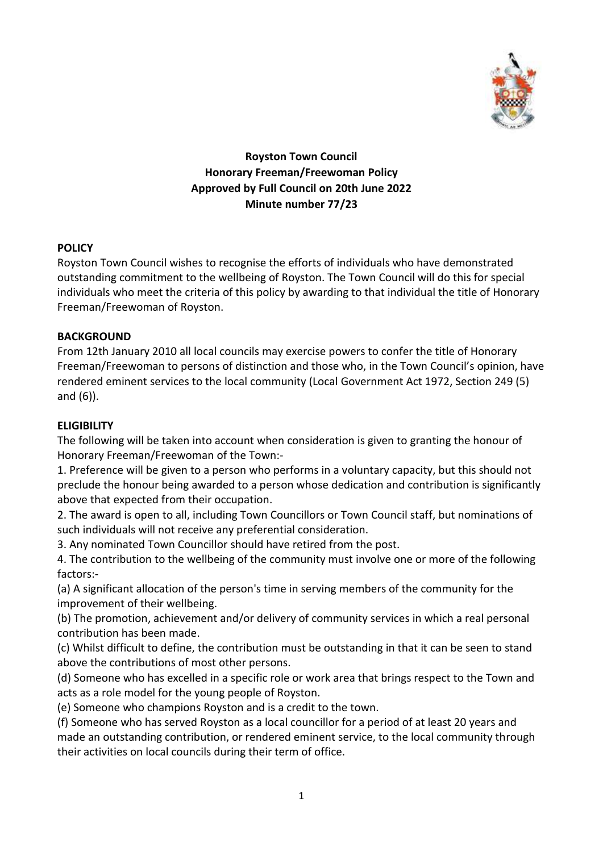

# **Royston Town Council Honorary Freeman/Freewoman Policy Approved by Full Council on 20th June 2022 Minute number 77/23**

# **POLICY**

Royston Town Council wishes to recognise the efforts of individuals who have demonstrated outstanding commitment to the wellbeing of Royston. The Town Council will do this for special individuals who meet the criteria of this policy by awarding to that individual the title of Honorary Freeman/Freewoman of Royston.

### **BACKGROUND**

From 12th January 2010 all local councils may exercise powers to confer the title of Honorary Freeman/Freewoman to persons of distinction and those who, in the Town Council's opinion, have rendered eminent services to the local community (Local Government Act 1972, Section 249 (5) and (6)).

# **ELIGIBILITY**

The following will be taken into account when consideration is given to granting the honour of Honorary Freeman/Freewoman of the Town:-

1. Preference will be given to a person who performs in a voluntary capacity, but this should not preclude the honour being awarded to a person whose dedication and contribution is significantly above that expected from their occupation.

2. The award is open to all, including Town Councillors or Town Council staff, but nominations of such individuals will not receive any preferential consideration.

3. Any nominated Town Councillor should have retired from the post.

4. The contribution to the wellbeing of the community must involve one or more of the following factors:-

(a) A significant allocation of the person's time in serving members of the community for the improvement of their wellbeing.

(b) The promotion, achievement and/or delivery of community services in which a real personal contribution has been made.

(c) Whilst difficult to define, the contribution must be outstanding in that it can be seen to stand above the contributions of most other persons.

(d) Someone who has excelled in a specific role or work area that brings respect to the Town and acts as a role model for the young people of Royston.

(e) Someone who champions Royston and is a credit to the town.

(f) Someone who has served Royston as a local councillor for a period of at least 20 years and made an outstanding contribution, or rendered eminent service, to the local community through their activities on local councils during their term of office.